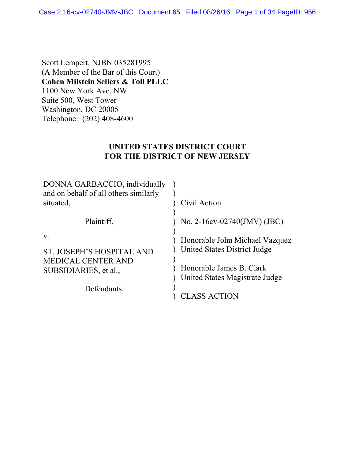Case 2:16-cv-02740-JMV-JBC Document 65 Filed 08/26/16 Page 1 of 34 PageID: 956

Scott Lempert, NJBN 035281995 (A Member of the Bar of this Court) **Cohen Milstein Sellers & Toll PLLC** 1100 New York Ave. NW Suite 500, West Tower Washington, DC 20005 Telephone: (202) 408-4600

### **UNITED STATES DISTRICT COURT FOR THE DISTRICT OF NEW JERSEY**

| DONNA GARBACCIO, individually<br>and on behalf of all others similarly<br>situated.   | Civil Action                                                                                                                 |
|---------------------------------------------------------------------------------------|------------------------------------------------------------------------------------------------------------------------------|
| Plaintiff,                                                                            | No. 2-16cv-02740(JMV) (JBC)                                                                                                  |
| V.<br>ST. JOSEPH'S HOSPITAL AND<br><b>MEDICAL CENTER AND</b><br>SUBSIDIARIES, et al., | Honorable John Michael Vazquez<br>United States District Judge<br>Honorable James B. Clark<br>United States Magistrate Judge |
| Defendants.                                                                           | CLASS ACTION                                                                                                                 |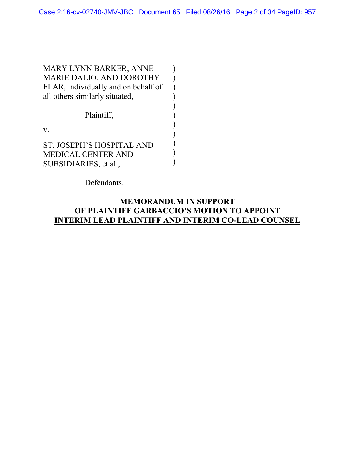) ) ) ) ) ) ) ) ) ) )

MARY LYNN BARKER, ANNE MARIE DALIO, AND DOROTHY FLAR, individually and on behalf of all others similarly situated,

Plaintiff,

v.

ST. JOSEPH'S HOSPITAL AND MEDICAL CENTER AND SUBSIDIARIES, et al.,

Defendants.

### **MEMORANDUM IN SUPPORT OF PLAINTIFF GARBACCIO'S MOTION TO APPOINT INTERIM LEAD PLAINTIFF AND INTERIM CO-LEAD COUNSEL**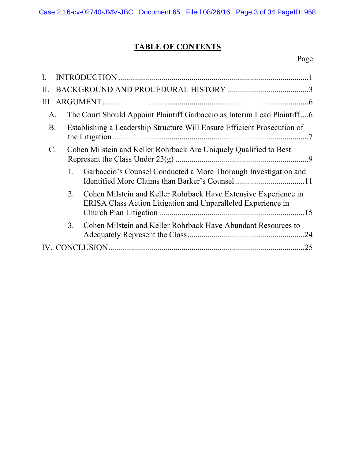# **TABLE OF CONTENTS**

# Page

| $\Pi$ .    |             |                                                                                                                                 |    |
|------------|-------------|---------------------------------------------------------------------------------------------------------------------------------|----|
|            |             |                                                                                                                                 |    |
| Α.         |             | The Court Should Appoint Plaintiff Garbaccio as Interim Lead Plaintiff6                                                         |    |
| <b>B</b> . |             | Establishing a Leadership Structure Will Ensure Efficient Prosecution of                                                        |    |
| C.         |             | Cohen Milstein and Keller Rohrback Are Uniquely Qualified to Best                                                               |    |
|            |             | Garbaccio's Counsel Conducted a More Thorough Investigation and                                                                 |    |
|            | $2_{\cdot}$ | Cohen Milstein and Keller Rohrback Have Extensive Experience in<br>ERISA Class Action Litigation and Unparalleled Experience in |    |
|            | 3.          | Cohen Milstein and Keller Rohrback Have Abundant Resources to                                                                   | 24 |
|            |             |                                                                                                                                 | 25 |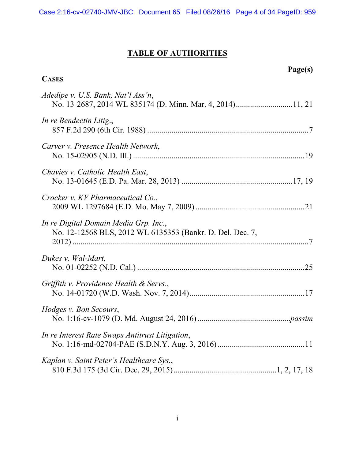# **TABLE OF AUTHORITIES**

**CASES**

# **Page(s)**

| Adedipe v. U.S. Bank, Nat'l Ass'n,                                                                 |  |
|----------------------------------------------------------------------------------------------------|--|
| In re Bendectin Litig.,                                                                            |  |
| Carver v. Presence Health Network,                                                                 |  |
| Chavies v. Catholic Health East,                                                                   |  |
| Crocker v. KV Pharmaceutical Co.,                                                                  |  |
| In re Digital Domain Media Grp. Inc.,<br>No. 12-12568 BLS, 2012 WL 6135353 (Bankr. D. Del. Dec. 7, |  |
| Dukes v. Wal-Mart,                                                                                 |  |
| Griffith v. Providence Health & Servs.,                                                            |  |
| Hodges v. Bon Secours,                                                                             |  |
| In re Interest Rate Swaps Antitrust Litigation,                                                    |  |
| Kaplan v. Saint Peter's Healthcare Sys.,                                                           |  |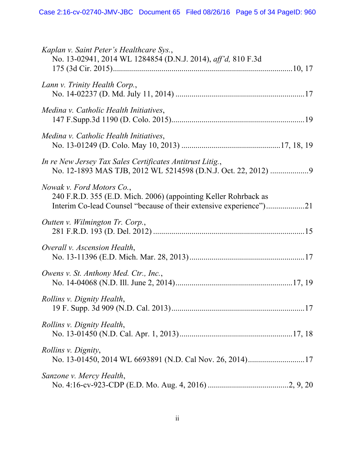| Kaplan v. Saint Peter's Healthcare Sys.,<br>No. 13-02941, 2014 WL 1284854 (D.N.J. 2014), aff'd, 810 F.3d                                                           |
|--------------------------------------------------------------------------------------------------------------------------------------------------------------------|
| Lann v. Trinity Health Corp.,                                                                                                                                      |
| Medina v. Catholic Health Initiatives,                                                                                                                             |
| Medina v. Catholic Health Initiatives,                                                                                                                             |
| In re New Jersey Tax Sales Certificates Antitrust Litig.,                                                                                                          |
| Nowak v. Ford Motors Co.,<br>240 F.R.D. 355 (E.D. Mich. 2006) (appointing Keller Rohrback as<br>Interim Co-lead Counsel "because of their extensive experience")21 |
| Outten v. Wilmington Tr. Corp.,                                                                                                                                    |
| Overall v. Ascension Health,                                                                                                                                       |
| Owens v. St. Anthony Med. Ctr., Inc.,                                                                                                                              |
| Rollins v. Dignity Health,                                                                                                                                         |
| Rollins v. Dignity Health,                                                                                                                                         |
| <i>Rollins v. Dignity,</i><br>No. 13-01450, 2014 WL 6693891 (N.D. Cal Nov. 26, 2014)17                                                                             |
| Sanzone v. Mercy Health,                                                                                                                                           |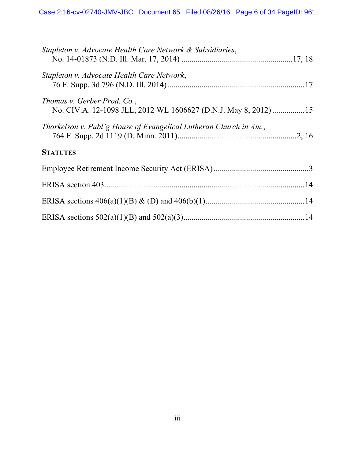| Stapleton v. Advocate Health Care Network & Subsidiaries,                                     |  |
|-----------------------------------------------------------------------------------------------|--|
| Stapleton v. Advocate Health Care Network,                                                    |  |
| Thomas v. Gerber Prod. Co.,<br>No. CIV.A. 12-1098 JLL, 2012 WL 1606627 (D.N.J. May 8, 2012)15 |  |
| Thorkelson v. Publ'g House of Evangelical Lutheran Church in Am.,                             |  |
| <b>STATUTES</b>                                                                               |  |
|                                                                                               |  |
|                                                                                               |  |
|                                                                                               |  |
|                                                                                               |  |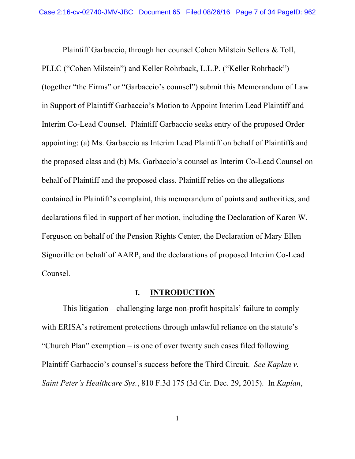Plaintiff Garbaccio, through her counsel Cohen Milstein Sellers & Toll, PLLC ("Cohen Milstein") and Keller Rohrback, L.L.P. ("Keller Rohrback") (together "the Firms" or "Garbaccio's counsel") submit this Memorandum of Law in Support of Plaintiff Garbaccio's Motion to Appoint Interim Lead Plaintiff and Interim Co-Lead Counsel. Plaintiff Garbaccio seeks entry of the proposed Order appointing: (a) Ms. Garbaccio as Interim Lead Plaintiff on behalf of Plaintiffs and the proposed class and (b) Ms. Garbaccio's counsel as Interim Co-Lead Counsel on behalf of Plaintiff and the proposed class. Plaintiff relies on the allegations contained in Plaintiff's complaint, this memorandum of points and authorities, and declarations filed in support of her motion, including the Declaration of Karen W. Ferguson on behalf of the Pension Rights Center, the Declaration of Mary Ellen Signorille on behalf of AARP, and the declarations of proposed Interim Co-Lead Counsel.

#### **I. INTRODUCTION**

 This litigation – challenging large non-profit hospitals' failure to comply with ERISA's retirement protections through unlawful reliance on the statute's "Church Plan" exemption – is one of over twenty such cases filed following Plaintiff Garbaccio's counsel's success before the Third Circuit. *See Kaplan v. Saint Peter's Healthcare Sys.*, 810 F.3d 175 (3d Cir. Dec. 29, 2015). In *Kaplan*,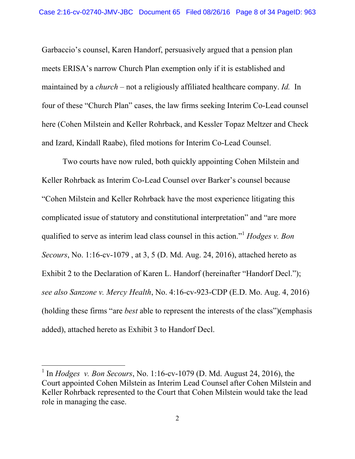Garbaccio's counsel, Karen Handorf, persuasively argued that a pension plan meets ERISA's narrow Church Plan exemption only if it is established and maintained by a *church* – not a religiously affiliated healthcare company. *Id.* In four of these "Church Plan" cases, the law firms seeking Interim Co-Lead counsel here (Cohen Milstein and Keller Rohrback, and Kessler Topaz Meltzer and Check and Izard, Kindall Raabe), filed motions for Interim Co-Lead Counsel.

 Two courts have now ruled, both quickly appointing Cohen Milstein and Keller Rohrback as Interim Co-Lead Counsel over Barker's counsel because "Cohen Milstein and Keller Rohrback have the most experience litigating this complicated issue of statutory and constitutional interpretation" and "are more qualified to serve as interim lead class counsel in this action."<sup>1</sup> *Hodges v. Bon Secours*, No. 1:16-cv-1079 , at 3, 5 (D. Md. Aug. 24, 2016), attached hereto as Exhibit 2 to the Declaration of Karen L. Handorf (hereinafter "Handorf Decl."); *see also Sanzone v. Mercy Health*, No. 4:16-cv-923-CDP (E.D. Mo. Aug. 4, 2016) (holding these firms "are *best* able to represent the interests of the class")(emphasis added), attached hereto as Exhibit 3 to Handorf Decl.

 $\overline{a}$ 

<sup>&</sup>lt;sup>1</sup> In *Hodges v. Bon Secours*, No. 1:16-cv-1079 (D. Md. August 24, 2016), the Court appointed Cohen Milstein as Interim Lead Counsel after Cohen Milstein and Keller Rohrback represented to the Court that Cohen Milstein would take the lead role in managing the case.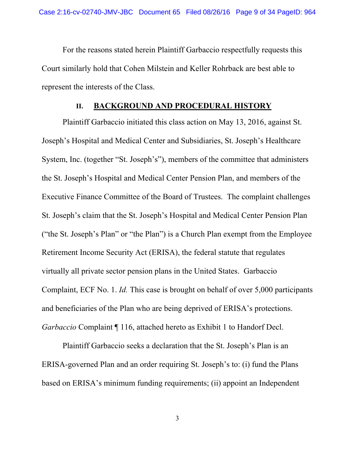For the reasons stated herein Plaintiff Garbaccio respectfully requests this Court similarly hold that Cohen Milstein and Keller Rohrback are best able to represent the interests of the Class.

#### **II. BACKGROUND AND PROCEDURAL HISTORY**

 Plaintiff Garbaccio initiated this class action on May 13, 2016, against St. Joseph's Hospital and Medical Center and Subsidiaries, St. Joseph's Healthcare System, Inc. (together "St. Joseph's"), members of the committee that administers the St. Joseph's Hospital and Medical Center Pension Plan, and members of the Executive Finance Committee of the Board of Trustees. The complaint challenges St. Joseph's claim that the St. Joseph's Hospital and Medical Center Pension Plan ("the St. Joseph's Plan" or "the Plan") is a Church Plan exempt from the Employee Retirement Income Security Act (ERISA), the federal statute that regulates virtually all private sector pension plans in the United States. Garbaccio Complaint, ECF No. 1. *Id.* This case is brought on behalf of over 5,000 participants and beneficiaries of the Plan who are being deprived of ERISA's protections. *Garbaccio* Complaint ¶ 116, attached hereto as Exhibit 1 to Handorf Decl.

 Plaintiff Garbaccio seeks a declaration that the St. Joseph's Plan is an ERISA-governed Plan and an order requiring St. Joseph's to: (i) fund the Plans based on ERISA's minimum funding requirements; (ii) appoint an Independent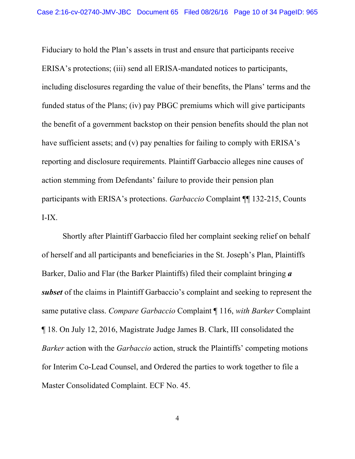Fiduciary to hold the Plan's assets in trust and ensure that participants receive ERISA's protections; (iii) send all ERISA-mandated notices to participants, including disclosures regarding the value of their benefits, the Plans' terms and the funded status of the Plans; (iv) pay PBGC premiums which will give participants the benefit of a government backstop on their pension benefits should the plan not have sufficient assets; and (v) pay penalties for failing to comply with ERISA's reporting and disclosure requirements. Plaintiff Garbaccio alleges nine causes of action stemming from Defendants' failure to provide their pension plan participants with ERISA's protections. *Garbaccio* Complaint ¶¶ 132-215, Counts I-IX.

 Shortly after Plaintiff Garbaccio filed her complaint seeking relief on behalf of herself and all participants and beneficiaries in the St. Joseph's Plan, Plaintiffs Barker, Dalio and Flar (the Barker Plaintiffs) filed their complaint bringing *a subset* of the claims in Plaintiff Garbaccio's complaint and seeking to represent the same putative class. *Compare Garbaccio* Complaint ¶ 116, *with Barker* Complaint ¶ 18. On July 12, 2016, Magistrate Judge James B. Clark, III consolidated the *Barker* action with the *Garbaccio* action, struck the Plaintiffs' competing motions for Interim Co-Lead Counsel, and Ordered the parties to work together to file a Master Consolidated Complaint. ECF No. 45.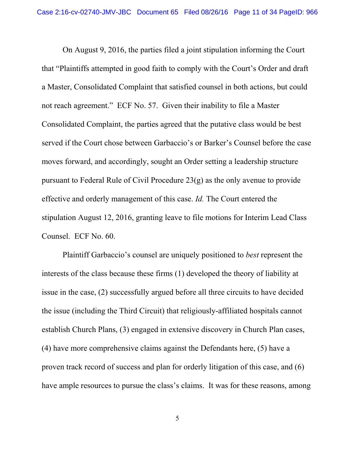On August 9, 2016, the parties filed a joint stipulation informing the Court that "Plaintiffs attempted in good faith to comply with the Court's Order and draft a Master, Consolidated Complaint that satisfied counsel in both actions, but could not reach agreement." ECF No. 57. Given their inability to file a Master Consolidated Complaint, the parties agreed that the putative class would be best served if the Court chose between Garbaccio's or Barker's Counsel before the case moves forward, and accordingly, sought an Order setting a leadership structure pursuant to Federal Rule of Civil Procedure 23(g) as the only avenue to provide effective and orderly management of this case. *Id.* The Court entered the stipulation August 12, 2016, granting leave to file motions for Interim Lead Class Counsel. ECF No. 60.

 Plaintiff Garbaccio's counsel are uniquely positioned to *best* represent the interests of the class because these firms (1) developed the theory of liability at issue in the case, (2) successfully argued before all three circuits to have decided the issue (including the Third Circuit) that religiously-affiliated hospitals cannot establish Church Plans, (3) engaged in extensive discovery in Church Plan cases, (4) have more comprehensive claims against the Defendants here, (5) have a proven track record of success and plan for orderly litigation of this case, and (6) have ample resources to pursue the class's claims. It was for these reasons, among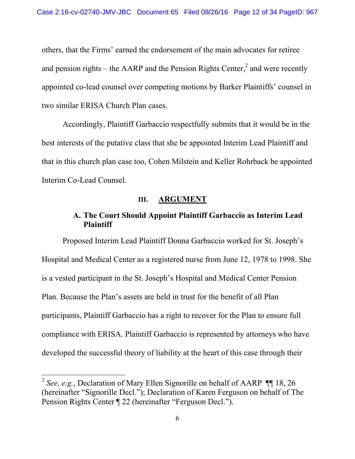others, that the Firms' earned the endorsement of the main advocates for retiree and pension rights – the AARP and the Pension Rights Center, $\lambda^2$  and were recently appointed co-lead counsel over competing motions by Barker Plaintiffs' counsel in two similar ERISA Church Plan cases.

 Accordingly, Plaintiff Garbaccio respectfully submits that it would be in the best interests of the putative class that she be appointed Interim Lead Plaintiff and that in this church plan case too, Cohen Milstein and Keller Rohrback be appointed Interim Co-Lead Counsel.

#### **III. ARGUMENT**

### **A. The Court Should Appoint Plaintiff Garbaccio as Interim Lead Plaintiff**

 Proposed Interim Lead Plaintiff Donna Garbaccio worked for St. Joseph's Hospital and Medical Center as a registered nurse from June 12, 1978 to 1998. She is a vested participant in the St. Joseph's Hospital and Medical Center Pension Plan. Because the Plan's assets are held in trust for the benefit of all Plan participants, Plaintiff Garbaccio has a right to recover for the Plan to ensure full compliance with ERISA. Plaintiff Garbaccio is represented by attorneys who have developed the successful theory of liability at the heart of this case through their

 $\overline{a}$ 

<sup>&</sup>lt;sup>2</sup> *See, e.g.*, Declaration of Mary Ellen Signorille on behalf of AARP ¶ 18, 26 (hereinafter "Signorille Decl."); Declaration of Karen Ferguson on behalf of The Pension Rights Center ¶ 22 (hereinafter "Ferguson Decl.").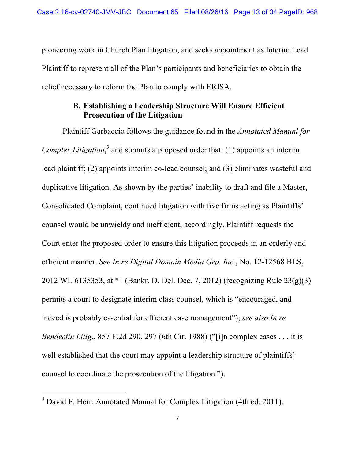pioneering work in Church Plan litigation, and seeks appointment as Interim Lead Plaintiff to represent all of the Plan's participants and beneficiaries to obtain the relief necessary to reform the Plan to comply with ERISA.

## **B. Establishing a Leadership Structure Will Ensure Efficient Prosecution of the Litigation**

 Plaintiff Garbaccio follows the guidance found in the *Annotated Manual for*  Complex Litigation,<sup>3</sup> and submits a proposed order that: (1) appoints an interim lead plaintiff; (2) appoints interim co-lead counsel; and (3) eliminates wasteful and duplicative litigation. As shown by the parties' inability to draft and file a Master, Consolidated Complaint, continued litigation with five firms acting as Plaintiffs' counsel would be unwieldy and inefficient; accordingly, Plaintiff requests the Court enter the proposed order to ensure this litigation proceeds in an orderly and efficient manner. *See In re Digital Domain Media Grp. Inc.*, No. 12-12568 BLS, 2012 WL 6135353, at \*1 (Bankr. D. Del. Dec. 7, 2012) (recognizing Rule 23(g)(3) permits a court to designate interim class counsel, which is "encouraged, and indeed is probably essential for efficient case management"); *see also In re Bendectin Litig*., 857 F.2d 290, 297 (6th Cir. 1988) ("[i]n complex cases . . . it is well established that the court may appoint a leadership structure of plaintiffs' counsel to coordinate the prosecution of the litigation.").

 $\overline{a}$ 

 $3$  David F. Herr, Annotated Manual for Complex Litigation (4th ed. 2011).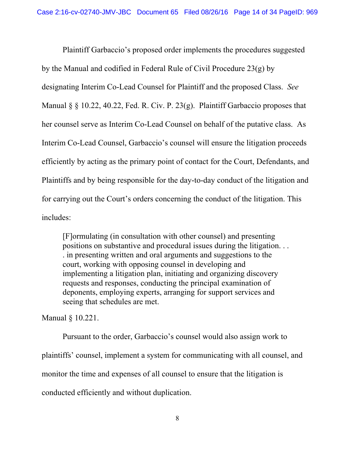Plaintiff Garbaccio's proposed order implements the procedures suggested by the Manual and codified in Federal Rule of Civil Procedure 23(g) by designating Interim Co-Lead Counsel for Plaintiff and the proposed Class. *See* Manual § § 10.22, 40.22, Fed. R. Civ. P. 23(g). Plaintiff Garbaccio proposes that her counsel serve as Interim Co-Lead Counsel on behalf of the putative class. As Interim Co-Lead Counsel, Garbaccio's counsel will ensure the litigation proceeds efficiently by acting as the primary point of contact for the Court, Defendants, and Plaintiffs and by being responsible for the day-to-day conduct of the litigation and for carrying out the Court's orders concerning the conduct of the litigation. This includes:

[F]ormulating (in consultation with other counsel) and presenting positions on substantive and procedural issues during the litigation. . . . in presenting written and oral arguments and suggestions to the court, working with opposing counsel in developing and implementing a litigation plan, initiating and organizing discovery requests and responses, conducting the principal examination of deponents, employing experts, arranging for support services and seeing that schedules are met.

Manual § 10.221.

 Pursuant to the order, Garbaccio's counsel would also assign work to plaintiffs' counsel, implement a system for communicating with all counsel, and monitor the time and expenses of all counsel to ensure that the litigation is conducted efficiently and without duplication.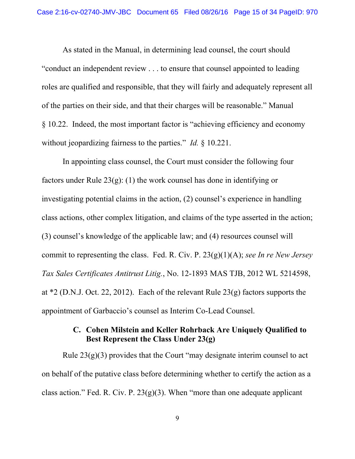As stated in the Manual, in determining lead counsel, the court should "conduct an independent review . . . to ensure that counsel appointed to leading roles are qualified and responsible, that they will fairly and adequately represent all of the parties on their side, and that their charges will be reasonable." Manual § 10.22. Indeed, the most important factor is "achieving efficiency and economy without jeopardizing fairness to the parties." *Id.* § 10.221.

 In appointing class counsel, the Court must consider the following four factors under Rule 23(g): (1) the work counsel has done in identifying or investigating potential claims in the action, (2) counsel's experience in handling class actions, other complex litigation, and claims of the type asserted in the action; (3) counsel's knowledge of the applicable law; and (4) resources counsel will commit to representing the class. Fed. R. Civ. P. 23(g)(1)(A); *see In re New Jersey Tax Sales Certificates Antitrust Litig.*, No. 12-1893 MAS TJB, 2012 WL 5214598, at \*2 (D.N.J. Oct. 22, 2012). Each of the relevant Rule 23(g) factors supports the appointment of Garbaccio's counsel as Interim Co-Lead Counsel.

### **C. Cohen Milstein and Keller Rohrback Are Uniquely Qualified to Best Represent the Class Under 23(g)**

Rule  $23(g)(3)$  provides that the Court "may designate interim counsel to act on behalf of the putative class before determining whether to certify the action as a class action." Fed. R. Civ. P.  $23(g)(3)$ . When "more than one adequate applicant"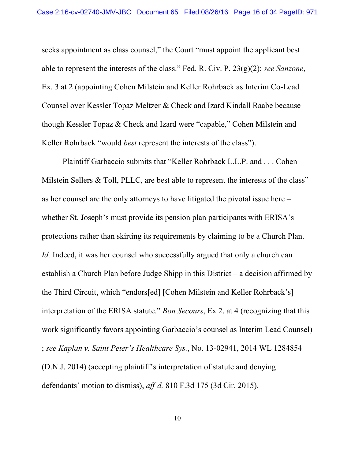seeks appointment as class counsel," the Court "must appoint the applicant best able to represent the interests of the class." Fed. R. Civ. P. 23(g)(2); *see Sanzone*, Ex. 3 at 2 (appointing Cohen Milstein and Keller Rohrback as Interim Co-Lead Counsel over Kessler Topaz Meltzer & Check and Izard Kindall Raabe because though Kessler Topaz & Check and Izard were "capable," Cohen Milstein and Keller Rohrback "would *best* represent the interests of the class").

 Plaintiff Garbaccio submits that "Keller Rohrback L.L.P. and . . . Cohen Milstein Sellers & Toll, PLLC, are best able to represent the interests of the class" as her counsel are the only attorneys to have litigated the pivotal issue here – whether St. Joseph's must provide its pension plan participants with ERISA's protections rather than skirting its requirements by claiming to be a Church Plan. *Id.* Indeed, it was her counsel who successfully argued that only a church can establish a Church Plan before Judge Shipp in this District – a decision affirmed by the Third Circuit, which "endors[ed] [Cohen Milstein and Keller Rohrback's] interpretation of the ERISA statute." *Bon Secours*, Ex 2. at 4 (recognizing that this work significantly favors appointing Garbaccio's counsel as Interim Lead Counsel) ; *see Kaplan v. Saint Peter's Healthcare Sys.*, No. 13-02941, 2014 WL 1284854 (D.N.J. 2014) (accepting plaintiff's interpretation of statute and denying defendants' motion to dismiss), *aff'd,* 810 F.3d 175 (3d Cir. 2015).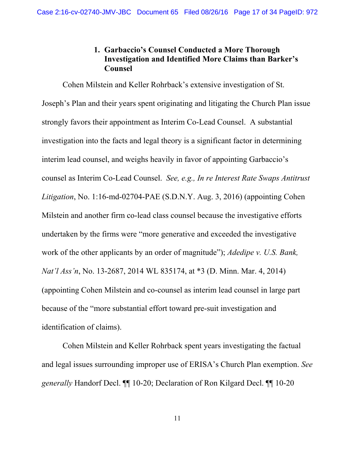### **1. Garbaccio's Counsel Conducted a More Thorough Investigation and Identified More Claims than Barker's Counsel**

 Cohen Milstein and Keller Rohrback's extensive investigation of St. Joseph's Plan and their years spent originating and litigating the Church Plan issue strongly favors their appointment as Interim Co-Lead Counsel. A substantial investigation into the facts and legal theory is a significant factor in determining interim lead counsel, and weighs heavily in favor of appointing Garbaccio's counsel as Interim Co-Lead Counsel. *See, e.g., In re Interest Rate Swaps Antitrust Litigation*, No. 1:16-md-02704-PAE (S.D.N.Y. Aug. 3, 2016) (appointing Cohen Milstein and another firm co-lead class counsel because the investigative efforts undertaken by the firms were "more generative and exceeded the investigative work of the other applicants by an order of magnitude"); *Adedipe v. U.S. Bank, Nat'l Ass'n*, No. 13-2687, 2014 WL 835174, at \*3 (D. Minn. Mar. 4, 2014) (appointing Cohen Milstein and co-counsel as interim lead counsel in large part because of the "more substantial effort toward pre-suit investigation and identification of claims).

 Cohen Milstein and Keller Rohrback spent years investigating the factual and legal issues surrounding improper use of ERISA's Church Plan exemption. *See generally* Handorf Decl. ¶¶ 10-20; Declaration of Ron Kilgard Decl. ¶¶ 10-20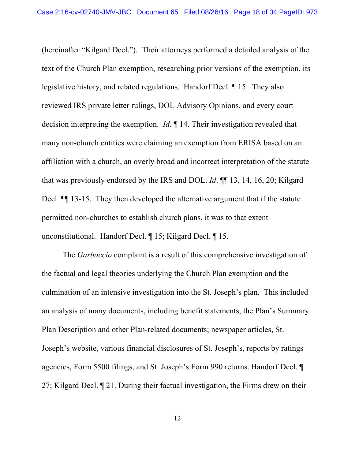(hereinafter "Kilgard Decl."). Their attorneys performed a detailed analysis of the text of the Church Plan exemption, researching prior versions of the exemption, its legislative history, and related regulations. Handorf Decl. ¶ 15. They also reviewed IRS private letter rulings, DOL Advisory Opinions, and every court decision interpreting the exemption. *Id*. ¶ 14. Their investigation revealed that many non-church entities were claiming an exemption from ERISA based on an affiliation with a church, an overly broad and incorrect interpretation of the statute that was previously endorsed by the IRS and DOL. *Id*. ¶¶ 13, 14, 16, 20; Kilgard Decl.  $\P$  13-15. They then developed the alternative argument that if the statute permitted non-churches to establish church plans, it was to that extent unconstitutional. Handorf Decl. ¶ 15; Kilgard Decl. ¶ 15.

 The *Garbaccio* complaint is a result of this comprehensive investigation of the factual and legal theories underlying the Church Plan exemption and the culmination of an intensive investigation into the St. Joseph's plan. This included an analysis of many documents, including benefit statements, the Plan's Summary Plan Description and other Plan-related documents; newspaper articles, St. Joseph's website, various financial disclosures of St. Joseph's, reports by ratings agencies, Form 5500 filings, and St. Joseph's Form 990 returns. Handorf Decl. ¶ 27; Kilgard Decl. ¶ 21. During their factual investigation, the Firms drew on their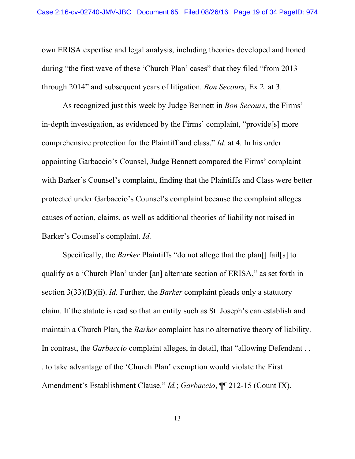own ERISA expertise and legal analysis, including theories developed and honed during "the first wave of these 'Church Plan' cases" that they filed "from 2013 through 2014" and subsequent years of litigation. *Bon Secours*, Ex 2. at 3.

 As recognized just this week by Judge Bennett in *Bon Secours*, the Firms' in-depth investigation, as evidenced by the Firms' complaint, "provide[s] more comprehensive protection for the Plaintiff and class." *Id*. at 4. In his order appointing Garbaccio's Counsel, Judge Bennett compared the Firms' complaint with Barker's Counsel's complaint, finding that the Plaintiffs and Class were better protected under Garbaccio's Counsel's complaint because the complaint alleges causes of action, claims, as well as additional theories of liability not raised in Barker's Counsel's complaint. *Id.*

 Specifically, the *Barker* Plaintiffs "do not allege that the plan[] fail[s] to qualify as a 'Church Plan' under [an] alternate section of ERISA," as set forth in section 3(33)(B)(ii). *Id.* Further, the *Barker* complaint pleads only a statutory claim. If the statute is read so that an entity such as St. Joseph's can establish and maintain a Church Plan, the *Barker* complaint has no alternative theory of liability. In contrast, the *Garbaccio* complaint alleges, in detail, that "allowing Defendant . . . to take advantage of the 'Church Plan' exemption would violate the First Amendment's Establishment Clause." *Id.*; *Garbaccio*, ¶¶ 212-15 (Count IX).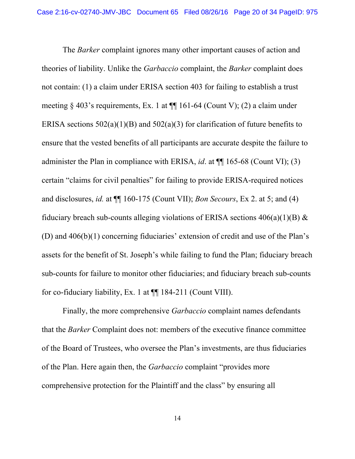The *Barker* complaint ignores many other important causes of action and theories of liability. Unlike the *Garbaccio* complaint, the *Barker* complaint does not contain: (1) a claim under ERISA section 403 for failing to establish a trust meeting  $\S$  403's requirements, Ex. 1 at  $\P$  161-64 (Count V); (2) a claim under ERISA sections  $502(a)(1)(B)$  and  $502(a)(3)$  for clarification of future benefits to ensure that the vested benefits of all participants are accurate despite the failure to administer the Plan in compliance with ERISA, *id*. at ¶¶ 165-68 (Count VI); (3) certain "claims for civil penalties" for failing to provide ERISA-required notices and disclosures, *id.* at ¶¶ 160-175 (Count VII); *Bon Secours*, Ex 2. at 5; and (4) fiduciary breach sub-counts alleging violations of ERISA sections  $406(a)(1)(B)$  & (D) and 406(b)(1) concerning fiduciaries' extension of credit and use of the Plan's assets for the benefit of St. Joseph's while failing to fund the Plan; fiduciary breach sub-counts for failure to monitor other fiduciaries; and fiduciary breach sub-counts for co-fiduciary liability, Ex. 1 at ¶¶ 184-211 (Count VIII).

 Finally, the more comprehensive *Garbaccio* complaint names defendants that the *Barker* Complaint does not: members of the executive finance committee of the Board of Trustees, who oversee the Plan's investments, are thus fiduciaries of the Plan. Here again then, the *Garbaccio* complaint "provides more comprehensive protection for the Plaintiff and the class" by ensuring all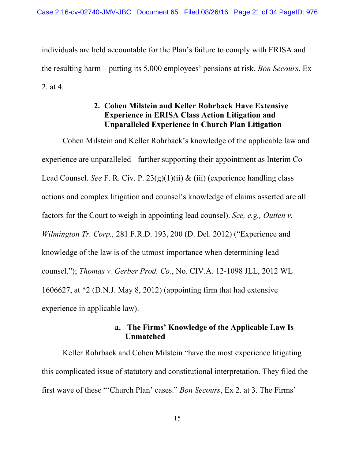individuals are held accountable for the Plan's failure to comply with ERISA and the resulting harm – putting its 5,000 employees' pensions at risk. *Bon Secours*, Ex 2. at 4.

## **2. Cohen Milstein and Keller Rohrback Have Extensive Experience in ERISA Class Action Litigation and Unparalleled Experience in Church Plan Litigation**

 Cohen Milstein and Keller Rohrback's knowledge of the applicable law and experience are unparalleled - further supporting their appointment as Interim Co-Lead Counsel. *See* F. R. Civ. P. 23(g)(1)(ii) & (iii) (experience handling class actions and complex litigation and counsel's knowledge of claims asserted are all factors for the Court to weigh in appointing lead counsel). *See, e.g., Outten v. Wilmington Tr. Corp.,* 281 F.R.D. 193, 200 (D. Del. 2012) ("Experience and knowledge of the law is of the utmost importance when determining lead counsel."); *Thomas v. Gerber Prod. Co.*, No. CIV.A. 12-1098 JLL, 2012 WL 1606627, at \*2 (D.N.J. May 8, 2012) (appointing firm that had extensive experience in applicable law).

## **a. The Firms' Knowledge of the Applicable Law Is Unmatched**

Keller Rohrback and Cohen Milstein "have the most experience litigating this complicated issue of statutory and constitutional interpretation. They filed the first wave of these "'Church Plan' cases." *Bon Secours*, Ex 2. at 3. The Firms'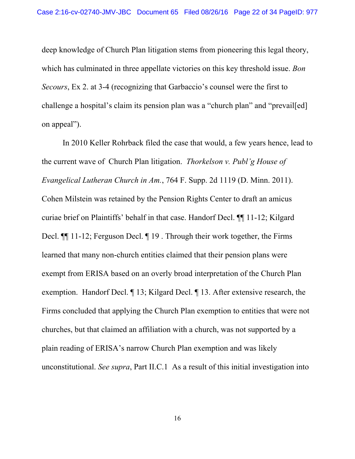deep knowledge of Church Plan litigation stems from pioneering this legal theory, which has culminated in three appellate victories on this key threshold issue. *Bon Secours*, Ex 2. at 3-4 (recognizing that Garbaccio's counsel were the first to challenge a hospital's claim its pension plan was a "church plan" and "prevail[ed] on appeal").

 In 2010 Keller Rohrback filed the case that would, a few years hence, lead to the current wave of Church Plan litigation. *Thorkelson v. Publ'g House of Evangelical Lutheran Church in Am.*, 764 F. Supp. 2d 1119 (D. Minn. 2011). Cohen Milstein was retained by the Pension Rights Center to draft an amicus curiae brief on Plaintiffs' behalf in that case. Handorf Decl. ¶¶ 11-12; Kilgard Decl. ¶¶ 11-12; Ferguson Decl. ¶ 19 . Through their work together, the Firms learned that many non-church entities claimed that their pension plans were exempt from ERISA based on an overly broad interpretation of the Church Plan exemption. Handorf Decl. ¶ 13; Kilgard Decl. ¶ 13. After extensive research, the Firms concluded that applying the Church Plan exemption to entities that were not churches, but that claimed an affiliation with a church, was not supported by a plain reading of ERISA's narrow Church Plan exemption and was likely unconstitutional. *See supra*, Part II.C.1 As a result of this initial investigation into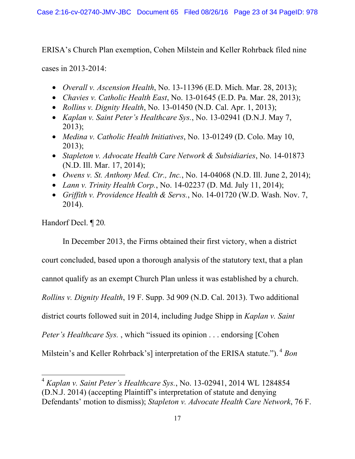ERISA's Church Plan exemption, Cohen Milstein and Keller Rohrback filed nine

cases in 2013-2014:

- *Overall v. Ascension Health*, No. 13-11396 (E.D. Mich. Mar. 28, 2013);
- *Chavies v. Catholic Health East*, No. 13-01645 (E.D. Pa. Mar. 28, 2013);
- *Rollins v. Dignity Health*, No. 13-01450 (N.D. Cal. Apr. 1, 2013);
- *Kaplan v. Saint Peter's Healthcare Sys.*, No. 13-02941 (D.N.J. May 7, 2013);
- *Medina v. Catholic Health Initiatives*, No. 13-01249 (D. Colo. May 10, 2013);
- *Stapleton v. Advocate Health Care Network & Subsidiaries*, No. 14-01873 (N.D. Ill. Mar. 17, 2014);
- *Owens v. St. Anthony Med. Ctr., Inc.*, No. 14-04068 (N.D. Ill. June 2, 2014);
- *Lann v. Trinity Health Corp.*, No. 14-02237 (D. Md. July 11, 2014);
- *Griffith v. Providence Health & Servs.*, No. 14-01720 (W.D. Wash. Nov. 7, 2014).

Handorf Decl. ¶ 20*.*

In December 2013, the Firms obtained their first victory, when a district

court concluded, based upon a thorough analysis of the statutory text, that a plan

cannot qualify as an exempt Church Plan unless it was established by a church.

*Rollins v. Dignity Health*, 19 F. Supp. 3d 909 (N.D. Cal. 2013). Two additional

district courts followed suit in 2014, including Judge Shipp in *Kaplan v. Saint* 

*Peter's Healthcare Sys.*, which "issued its opinion . . . endorsing [Cohen]

Milstein's and Keller Rohrback's] interpretation of the ERISA statute."). <sup>4</sup> Bon

 $\overline{a}$ <sup>4</sup> *Kaplan v. Saint Peter's Healthcare Sys.*, No. 13-02941, 2014 WL 1284854 (D.N.J. 2014) (accepting Plaintiff's interpretation of statute and denying Defendants' motion to dismiss); *Stapleton v. Advocate Health Care Network*, 76 F.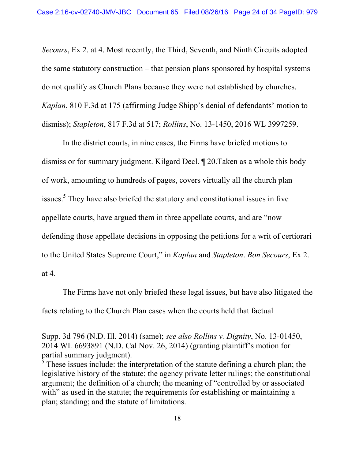*Secours*, Ex 2. at 4. Most recently, the Third, Seventh, and Ninth Circuits adopted the same statutory construction – that pension plans sponsored by hospital systems do not qualify as Church Plans because they were not established by churches. *Kaplan*, 810 F.3d at 175 (affirming Judge Shipp's denial of defendants' motion to dismiss); *Stapleton*, 817 F.3d at 517; *Rollins*, No. 13-1450, 2016 WL 3997259.

 In the district courts, in nine cases, the Firms have briefed motions to dismiss or for summary judgment. Kilgard Decl. ¶ 20.Taken as a whole this body of work, amounting to hundreds of pages, covers virtually all the church plan issues.<sup>5</sup> They have also briefed the statutory and constitutional issues in five appellate courts, have argued them in three appellate courts, and are "now defending those appellate decisions in opposing the petitions for a writ of certiorari to the United States Supreme Court," in *Kaplan* and *Stapleton*. *Bon Secours*, Ex 2. at 4.

 The Firms have not only briefed these legal issues, but have also litigated the facts relating to the Church Plan cases when the courts held that factual

 $\overline{a}$ 

Supp. 3d 796 (N.D. Ill. 2014) (same); *see also Rollins v. Dignity*, No. 13-01450, 2014 WL 6693891 (N.D. Cal Nov. 26, 2014) (granting plaintiff's motion for partial summary judgment).

 $5$  These issues include: the interpretation of the statute defining a church plan; the legislative history of the statute; the agency private letter rulings; the constitutional argument; the definition of a church; the meaning of "controlled by or associated with" as used in the statute; the requirements for establishing or maintaining a plan; standing; and the statute of limitations.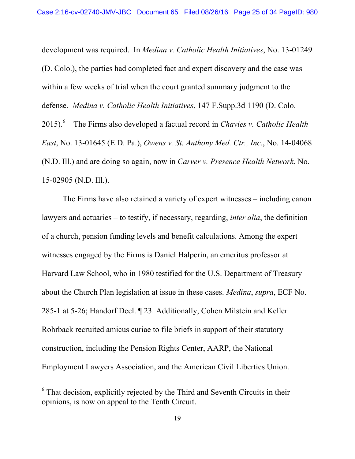development was required. In *Medina v. Catholic Health Initiatives*, No. 13-01249 (D. Colo.), the parties had completed fact and expert discovery and the case was within a few weeks of trial when the court granted summary judgment to the defense. *Medina v. Catholic Health Initiatives*, 147 F.Supp.3d 1190 (D. Colo. 2015).6 The Firms also developed a factual record in *Chavies v. Catholic Health East*, No. 13-01645 (E.D. Pa.), *Owens v. St. Anthony Med. Ctr., Inc.*, No. 14-04068 (N.D. Ill.) and are doing so again, now in *Carver v. Presence Health Network*, No. 15-02905 (N.D. Ill.).

 The Firms have also retained a variety of expert witnesses – including canon lawyers and actuaries – to testify, if necessary, regarding, *inter alia*, the definition of a church, pension funding levels and benefit calculations. Among the expert witnesses engaged by the Firms is Daniel Halperin, an emeritus professor at Harvard Law School, who in 1980 testified for the U.S. Department of Treasury about the Church Plan legislation at issue in these cases. *Medina*, *supra*, ECF No. 285-1 at 5-26; Handorf Decl. ¶ 23. Additionally, Cohen Milstein and Keller Rohrback recruited amicus curiae to file briefs in support of their statutory construction, including the Pension Rights Center, AARP, the National Employment Lawyers Association, and the American Civil Liberties Union.

 $\overline{a}$ 

<sup>&</sup>lt;sup>6</sup> That decision, explicitly rejected by the Third and Seventh Circuits in their opinions, is now on appeal to the Tenth Circuit.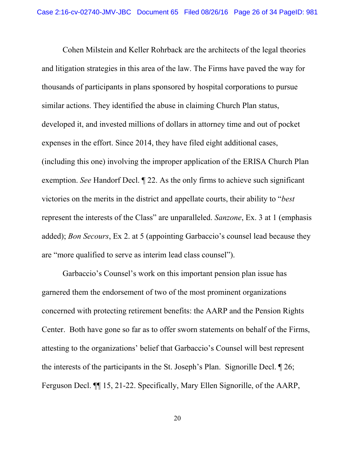Cohen Milstein and Keller Rohrback are the architects of the legal theories and litigation strategies in this area of the law. The Firms have paved the way for thousands of participants in plans sponsored by hospital corporations to pursue similar actions. They identified the abuse in claiming Church Plan status, developed it, and invested millions of dollars in attorney time and out of pocket expenses in the effort. Since 2014, they have filed eight additional cases, (including this one) involving the improper application of the ERISA Church Plan exemption. *See* Handorf Decl. ¶ 22. As the only firms to achieve such significant victories on the merits in the district and appellate courts, their ability to "*best*  represent the interests of the Class" are unparalleled. *Sanzone*, Ex. 3 at 1 (emphasis added); *Bon Secours*, Ex 2. at 5 (appointing Garbaccio's counsel lead because they are "more qualified to serve as interim lead class counsel").

 Garbaccio's Counsel's work on this important pension plan issue has garnered them the endorsement of two of the most prominent organizations concerned with protecting retirement benefits: the AARP and the Pension Rights Center. Both have gone so far as to offer sworn statements on behalf of the Firms, attesting to the organizations' belief that Garbaccio's Counsel will best represent the interests of the participants in the St. Joseph's Plan. Signorille Decl. ¶ 26; Ferguson Decl. ¶¶ 15, 21-22. Specifically, Mary Ellen Signorille, of the AARP,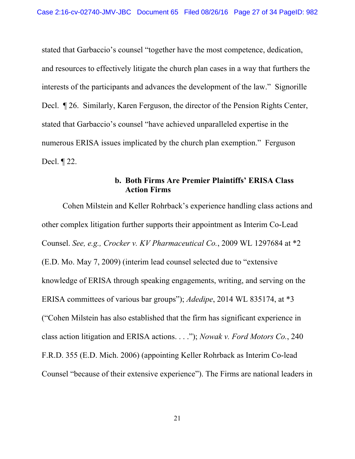stated that Garbaccio's counsel "together have the most competence, dedication, and resources to effectively litigate the church plan cases in a way that furthers the interests of the participants and advances the development of the law." Signorille Decl. ¶ 26. Similarly, Karen Ferguson, the director of the Pension Rights Center, stated that Garbaccio's counsel "have achieved unparalleled expertise in the numerous ERISA issues implicated by the church plan exemption." Ferguson Decl. ¶ 22.

### **b. Both Firms Are Premier Plaintiffs' ERISA Class Action Firms**

 Cohen Milstein and Keller Rohrback's experience handling class actions and other complex litigation further supports their appointment as Interim Co-Lead Counsel. *See, e.g., Crocker v. KV Pharmaceutical Co.*, 2009 WL 1297684 at \*2 (E.D. Mo. May 7, 2009) (interim lead counsel selected due to "extensive knowledge of ERISA through speaking engagements, writing, and serving on the ERISA committees of various bar groups"); *Adedipe*, 2014 WL 835174, at \*3 ("Cohen Milstein has also established that the firm has significant experience in class action litigation and ERISA actions. . . ."); *Nowak v. Ford Motors Co.*, 240 F.R.D. 355 (E.D. Mich. 2006) (appointing Keller Rohrback as Interim Co-lead Counsel "because of their extensive experience"). The Firms are national leaders in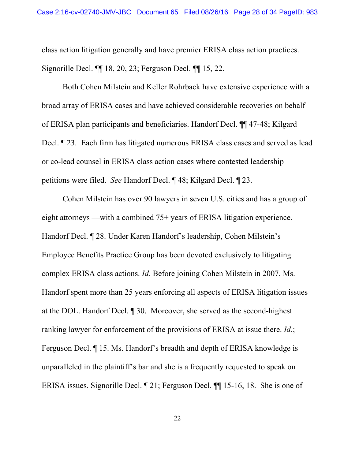class action litigation generally and have premier ERISA class action practices. Signorille Decl. ¶¶ 18, 20, 23; Ferguson Decl. ¶¶ 15, 22.

 Both Cohen Milstein and Keller Rohrback have extensive experience with a broad array of ERISA cases and have achieved considerable recoveries on behalf of ERISA plan participants and beneficiaries. Handorf Decl. ¶¶ 47-48; Kilgard Decl. ¶ 23. Each firm has litigated numerous ERISA class cases and served as lead or co-lead counsel in ERISA class action cases where contested leadership petitions were filed. *See* Handorf Decl. ¶ 48; Kilgard Decl. ¶ 23.

 Cohen Milstein has over 90 lawyers in seven U.S. cities and has a group of eight attorneys —with a combined 75+ years of ERISA litigation experience. Handorf Decl. ¶ 28. Under Karen Handorf's leadership, Cohen Milstein's Employee Benefits Practice Group has been devoted exclusively to litigating complex ERISA class actions. *Id*. Before joining Cohen Milstein in 2007, Ms. Handorf spent more than 25 years enforcing all aspects of ERISA litigation issues at the DOL. Handorf Decl. ¶ 30. Moreover, she served as the second-highest ranking lawyer for enforcement of the provisions of ERISA at issue there. *Id*.; Ferguson Decl. ¶ 15. Ms. Handorf's breadth and depth of ERISA knowledge is unparalleled in the plaintiff's bar and she is a frequently requested to speak on ERISA issues. Signorille Decl. ¶ 21; Ferguson Decl. ¶¶ 15-16, 18. She is one of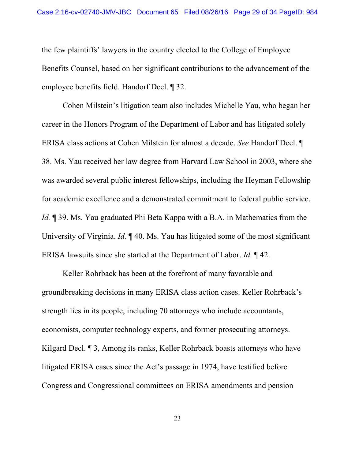the few plaintiffs' lawyers in the country elected to the College of Employee Benefits Counsel, based on her significant contributions to the advancement of the employee benefits field. Handorf Decl. ¶ 32.

 Cohen Milstein's litigation team also includes Michelle Yau, who began her career in the Honors Program of the Department of Labor and has litigated solely ERISA class actions at Cohen Milstein for almost a decade. *See* Handorf Decl. ¶ 38. Ms. Yau received her law degree from Harvard Law School in 2003, where she was awarded several public interest fellowships, including the Heyman Fellowship for academic excellence and a demonstrated commitment to federal public service. *Id.* 139. Ms. Yau graduated Phi Beta Kappa with a B.A. in Mathematics from the University of Virginia. *Id.*  $\llbracket 40$ . Ms. Yau has litigated some of the most significant ERISA lawsuits since she started at the Department of Labor. *Id.* ¶ 42.

 Keller Rohrback has been at the forefront of many favorable and groundbreaking decisions in many ERISA class action cases. Keller Rohrback's strength lies in its people, including 70 attorneys who include accountants, economists, computer technology experts, and former prosecuting attorneys. Kilgard Decl. <sup>¶</sup> 3, Among its ranks, Keller Rohrback boasts attorneys who have litigated ERISA cases since the Act's passage in 1974, have testified before Congress and Congressional committees on ERISA amendments and pension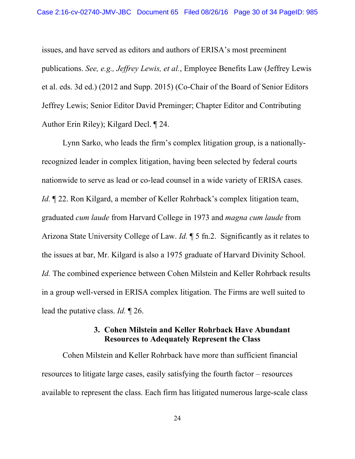issues, and have served as editors and authors of ERISA's most preeminent publications. *See, e.g., Jeffrey Lewis, et al.*, Employee Benefits Law (Jeffrey Lewis et al. eds. 3d ed.) (2012 and Supp. 2015) (Co-Chair of the Board of Senior Editors Jeffrey Lewis; Senior Editor David Preminger; Chapter Editor and Contributing Author Erin Riley); Kilgard Decl. ¶ 24.

 Lynn Sarko, who leads the firm's complex litigation group, is a nationallyrecognized leader in complex litigation, having been selected by federal courts nationwide to serve as lead or co-lead counsel in a wide variety of ERISA cases. *Id.*  $\mathbb{I}$  22. Ron Kilgard, a member of Keller Rohrback's complex litigation team, graduated *cum laude* from Harvard College in 1973 and *magna cum laude* from Arizona State University College of Law. *Id.* ¶ 5 fn.2. Significantly as it relates to the issues at bar, Mr. Kilgard is also a 1975 graduate of Harvard Divinity School. *Id.* The combined experience between Cohen Milstein and Keller Rohrback results in a group well-versed in ERISA complex litigation. The Firms are well suited to lead the putative class. *Id.* ¶ 26.

#### **3. Cohen Milstein and Keller Rohrback Have Abundant Resources to Adequately Represent the Class**

 Cohen Milstein and Keller Rohrback have more than sufficient financial resources to litigate large cases, easily satisfying the fourth factor – resources available to represent the class. Each firm has litigated numerous large-scale class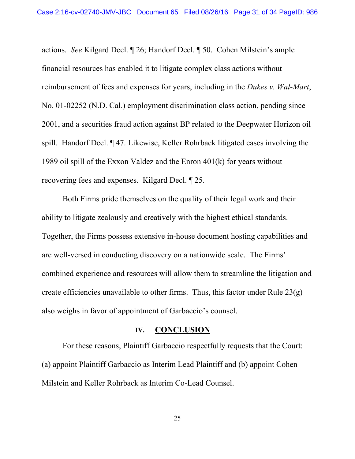actions. *See* Kilgard Decl. ¶ 26; Handorf Decl. ¶ 50. Cohen Milstein's ample financial resources has enabled it to litigate complex class actions without reimbursement of fees and expenses for years, including in the *Dukes v. Wal-Mart*, No. 01-02252 (N.D. Cal.) employment discrimination class action, pending since 2001, and a securities fraud action against BP related to the Deepwater Horizon oil spill. Handorf Decl. ¶ 47. Likewise, Keller Rohrback litigated cases involving the 1989 oil spill of the Exxon Valdez and the Enron 401(k) for years without recovering fees and expenses. Kilgard Decl. ¶ 25.

 Both Firms pride themselves on the quality of their legal work and their ability to litigate zealously and creatively with the highest ethical standards. Together, the Firms possess extensive in-house document hosting capabilities and are well-versed in conducting discovery on a nationwide scale. The Firms' combined experience and resources will allow them to streamline the litigation and create efficiencies unavailable to other firms. Thus, this factor under Rule 23(g) also weighs in favor of appointment of Garbaccio's counsel.

#### **IV. CONCLUSION**

 For these reasons, Plaintiff Garbaccio respectfully requests that the Court: (a) appoint Plaintiff Garbaccio as Interim Lead Plaintiff and (b) appoint Cohen Milstein and Keller Rohrback as Interim Co-Lead Counsel.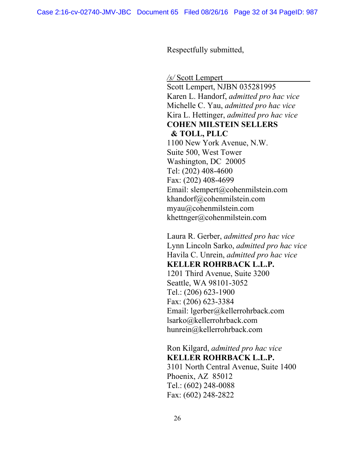Respectfully submitted,

*/s/* Scott Lempert

Scott Lempert, NJBN 035281995 Karen L. Handorf, *admitted pro hac vice* Michelle C. Yau, *admitted pro hac vice* Kira L. Hettinger, *admitted pro hac vice* **COHEN MILSTEIN SELLERS & TOLL, PLLC** 1100 New York Avenue, N.W. Suite 500, West Tower Washington, DC 20005 Tel: (202) 408-4600 Fax: (202) 408-4699 Email: slempert@cohenmilstein.com khandorf@cohenmilstein.com myau@cohenmilstein.com khettnger@cohenmilstein.com

Laura R. Gerber, *admitted pro hac vice* Lynn Lincoln Sarko, *admitted pro hac vice*  Havila C. Unrein, *admitted pro hac vice* 

**KELLER ROHRBACK L.L.P.**

1201 Third Avenue, Suite 3200 Seattle, WA 98101-3052 Tel.: (206) 623-1900 Fax: (206) 623-3384 Email: lgerber@kellerrohrback.com lsarko@kellerrohrback.com hunrein@kellerrohrback.com

Ron Kilgard, *admitted pro hac vice*  **KELLER ROHRBACK L.L.P.**  3101 North Central Avenue, Suite 1400 Phoenix, AZ 85012 Tel.: (602) 248-0088 Fax: (602) 248-2822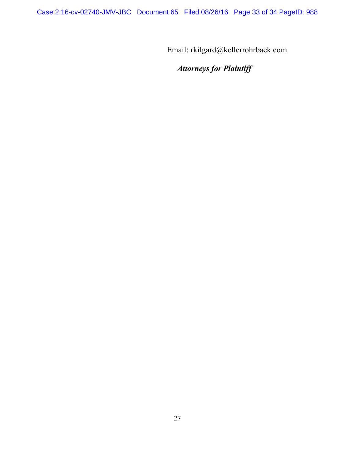Email: rkilgard@kellerrohrback.com

# *Attorneys for Plaintiff*